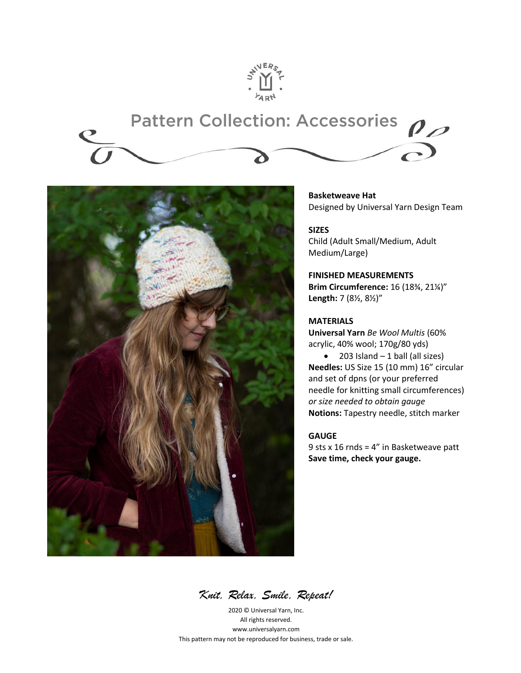

# **Pattern Collection: Accessories**  $\rho_{\scriptscriptstyle\mathcal{D}}$



**Basketweave Hat** Designed by Universal Yarn Design Team

**SIZES** Child (Adult Small/Medium, Adult Medium/Large)

**FINISHED MEASUREMENTS Brim Circumference:** 16 (18¾, 21¼)" **Length:** 7 (8½, 8½)"

#### **MATERIALS**

**Universal Yarn** *Be Wool Multis* (60% acrylic, 40% wool; 170g/80 yds)

 $\bullet$  203 Island – 1 ball (all sizes) **Needles:** US Size 15 (10 mm) 16" circular and set of dpns (or your preferred needle for knitting small circumferences) *or size needed to obtain gauge* **Notions:** Tapestry needle, stitch marker

#### **GAUGE**

9 sts x 16 rnds = 4" in Basketweave patt **Save time, check your gauge.**

*Knit, Relax, Smile, Repeat!*

2020 © Universal Yarn, Inc. All rights reserved. www.universalyarn.com This pattern may not be reproduced for business, trade or sale.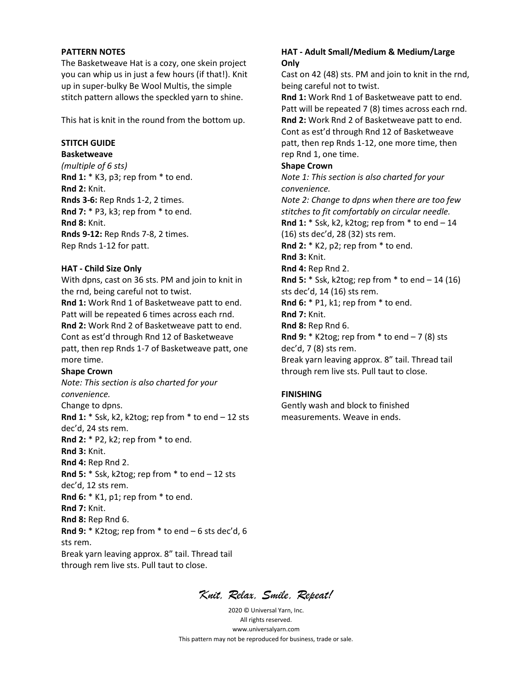#### **PATTERN NOTES**

The Basketweave Hat is a cozy, one skein project you can whip us in just a few hours (if that!). Knit up in super-bulky Be Wool Multis, the simple stitch pattern allows the speckled yarn to shine.

This hat is knit in the round from the bottom up.

#### **STITCH GUIDE**

**Basketweave**

*(multiple of 6 sts)* **Rnd 1:** \* K3, p3; rep from \* to end. **Rnd 2:** Knit. **Rnds 3-6:** Rep Rnds 1-2, 2 times. **Rnd 7:** \* P3, k3; rep from \* to end. **Rnd 8:** Knit. **Rnds 9-12:** Rep Rnds 7-8, 2 times. Rep Rnds 1-12 for patt.

#### **HAT - Child Size Only**

With dpns, cast on 36 sts. PM and join to knit in the rnd, being careful not to twist. **Rnd 1:** Work Rnd 1 of Basketweave patt to end. Patt will be repeated 6 times across each rnd.

**Rnd 2:** Work Rnd 2 of Basketweave patt to end. Cont as est'd through Rnd 12 of Basketweave patt, then rep Rnds 1-7 of Basketweave patt, one more time.

#### **Shape Crown**

*Note: This section is also charted for your convenience.* Change to dpns. **Rnd 1:** \* Ssk, k2, k2tog; rep from \* to end – 12 sts dec'd, 24 sts rem. **Rnd 2:** \* P2, k2; rep from \* to end. **Rnd 3:** Knit. **Rnd 4:** Rep Rnd 2. **Rnd 5:** \* Ssk, k2tog; rep from \* to end – 12 sts dec'd, 12 sts rem. **Rnd 6:** \* K1, p1; rep from \* to end. **Rnd 7:** Knit. **Rnd 8:** Rep Rnd 6. **Rnd 9:** \* K2tog; rep from \* to end – 6 sts dec'd, 6 sts rem. Break yarn leaving approx. 8" tail. Thread tail through rem live sts. Pull taut to close.

#### **HAT - Adult Small/Medium & Medium/Large Only**

Cast on 42 (48) sts. PM and join to knit in the rnd, being careful not to twist.

**Rnd 1:** Work Rnd 1 of Basketweave patt to end. Patt will be repeated 7 (8) times across each rnd. **Rnd 2:** Work Rnd 2 of Basketweave patt to end. Cont as est'd through Rnd 12 of Basketweave patt, then rep Rnds 1-12, one more time, then rep Rnd 1, one time.

#### **Shape Crown**

*Note 1: This section is also charted for your convenience.*

*Note 2: Change to dpns when there are too few stitches to fit comfortably on circular needle.*  **Rnd 1:** \* Ssk, k2, k2tog; rep from \* to end – 14 (16) sts dec'd, 28 (32) sts rem. **Rnd 2:** \* K2, p2; rep from \* to end. **Rnd 3:** Knit. **Rnd 4:** Rep Rnd 2. **Rnd 5:** \* Ssk, k2tog; rep from \* to end – 14 (16) sts dec'd, 14 (16) sts rem. **Rnd 6:** \* P1, k1; rep from \* to end. **Rnd 7:** Knit. **Rnd 8:** Rep Rnd 6. **Rnd 9:** \* K2tog; rep from \* to end – 7 (8) sts dec'd, 7 (8) sts rem. Break yarn leaving approx. 8" tail. Thread tail through rem live sts. Pull taut to close.

#### **FINISHING**

Gently wash and block to finished measurements. Weave in ends.

*Knit, Relax, Smile, Repeat!*

2020 © Universal Yarn, Inc. All rights reserved. www.universalyarn.com This pattern may not be reproduced for business, trade or sale.